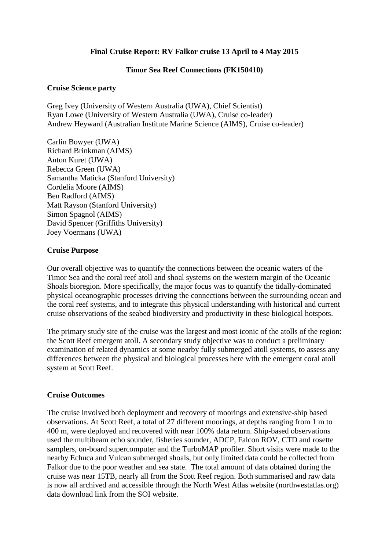# **Final Cruise Report: RV Falkor cruise 13 April to 4 May 2015**

#### **Timor Sea Reef Connections (FK150410)**

#### **Cruise Science party**

Greg Ivey (University of Western Australia (UWA), Chief Scientist) Ryan Lowe (University of Western Australia (UWA), Cruise co-leader) Andrew Heyward (Australian Institute Marine Science (AIMS), Cruise co-leader)

Carlin Bowyer (UWA) Richard Brinkman (AIMS) Anton Kuret (UWA) Rebecca Green (UWA) Samantha Maticka (Stanford University) Cordelia Moore (AIMS) Ben Radford (AIMS) Matt Rayson (Stanford University) Simon Spagnol (AIMS) David Spencer (Griffiths University) Joey Voermans (UWA)

# **Cruise Purpose**

Our overall objective was to quantify the connections between the oceanic waters of the Timor Sea and the coral reef atoll and shoal systems on the western margin of the Oceanic Shoals bioregion. More specifically, the major focus was to quantify the tidally-dominated physical oceanographic processes driving the connections between the surrounding ocean and the coral reef systems, and to integrate this physical understanding with historical and current cruise observations of the seabed biodiversity and productivity in these biological hotspots.

The primary study site of the cruise was the largest and most iconic of the atolls of the region: the Scott Reef emergent atoll. A secondary study objective was to conduct a preliminary examination of related dynamics at some nearby fully submerged atoll systems, to assess any differences between the physical and biological processes here with the emergent coral atoll system at Scott Reef.

# **Cruise Outcomes**

The cruise involved both deployment and recovery of moorings and extensive-ship based observations. At Scott Reef, a total of 27 different moorings, at depths ranging from 1 m to 400 m, were deployed and recovered with near 100% data return. Ship-based observations used the multibeam echo sounder, fisheries sounder, ADCP, Falcon ROV, CTD and rosette samplers, on-board supercomputer and the TurboMAP profiler. Short visits were made to the nearby Echuca and Vulcan submerged shoals, but only limited data could be collected from Falkor due to the poor weather and sea state. The total amount of data obtained during the cruise was near 15TB, nearly all from the Scott Reef region. Both summarised and raw data is now all archived and accessible through the North West Atlas website (northwestatlas.org) data download link from the SOI website.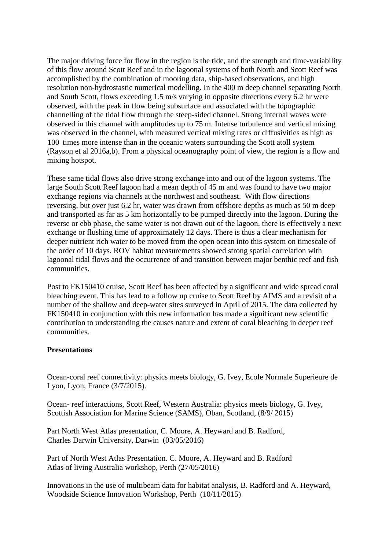The major driving force for flow in the region is the tide, and the strength and time-variability of this flow around Scott Reef and in the lagoonal systems of both North and Scott Reef was accomplished by the combination of mooring data, ship-based observations, and high resolution non-hydrostastic numerical modelling. In the 400 m deep channel separating North and South Scott, flows exceeding 1.5 m/s varying in opposite directions every 6.2 hr were observed, with the peak in flow being subsurface and associated with the topographic channelling of the tidal flow through the steep-sided channel. Strong internal waves were observed in this channel with amplitudes up to 75 m. Intense turbulence and vertical mixing was observed in the channel, with measured vertical mixing rates or diffusivities as high as 100 times more intense than in the oceanic waters surrounding the Scott atoll system (Rayson et al 2016a,b). From a physical oceanography point of view, the region is a flow and mixing hotspot.

These same tidal flows also drive strong exchange into and out of the lagoon systems. The large South Scott Reef lagoon had a mean depth of 45 m and was found to have two major exchange regions via channels at the northwest and southeast. With flow directions reversing, but over just 6.2 hr, water was drawn from offshore depths as much as 50 m deep and transported as far as 5 km horizontally to be pumped directly into the lagoon. During the reverse or ebb phase, the same water is not drawn out of the lagoon, there is effectively a next exchange or flushing time of approximately 12 days. There is thus a clear mechanism for deeper nutrient rich water to be moved from the open ocean into this system on timescale of the order of 10 days. ROV habitat measurements showed strong spatial correlation with lagoonal tidal flows and the occurrence of and transition between major benthic reef and fish communities.

Post to FK150410 cruise, Scott Reef has been affected by a significant and wide spread coral bleaching event. This has lead to a follow up cruise to Scott Reef by AIMS and a revisit of a number of the shallow and deep-water sites surveyed in April of 2015. The data collected by FK150410 in conjunction with this new information has made a significant new scientific contribution to understanding the causes nature and extent of coral bleaching in deeper reef communities.

# **Presentations**

Ocean-coral reef connectivity: physics meets biology, G. Ivey, Ecole Normale Superieure de Lyon, Lyon, France (3/7/2015).

Ocean- reef interactions, Scott Reef, Western Australia: physics meets biology, G. Ivey, Scottish Association for Marine Science (SAMS), Oban, Scotland, (8/9/ 2015)

Part North West Atlas presentation, C. Moore, A. Heyward and B. Radford, Charles Darwin University, Darwin (03/05/2016)

Part of North West Atlas Presentation. C. Moore, A. Heyward and B. Radford Atlas of living Australia workshop, Perth (27/05/2016)

Innovations in the use of multibeam data for habitat analysis, B. Radford and A. Heyward, Woodside Science Innovation Workshop, Perth (10/11/2015)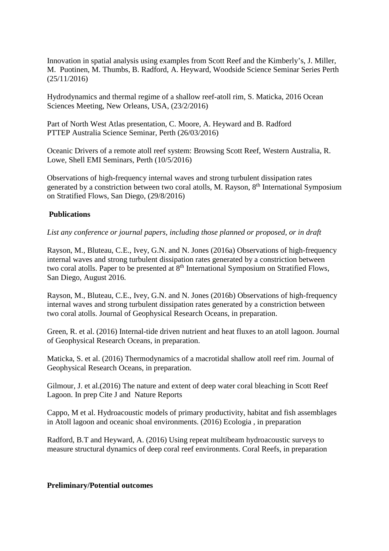Innovation in spatial analysis using examples from Scott Reef and the Kimberly's, J. Miller, M. Puotinen, M. Thumbs, B. Radford, A. Heyward, Woodside Science Seminar Series Perth (25/11/2016)

Hydrodynamics and thermal regime of a shallow reef-atoll rim, S. Maticka, 2016 Ocean Sciences Meeting, New Orleans, USA, (23/2/2016)

Part of North West Atlas presentation, C. Moore, A. Heyward and B. Radford PTTEP Australia Science Seminar, Perth (26/03/2016)

Oceanic Drivers of a remote atoll reef system: Browsing Scott Reef, Western Australia, R. Lowe, Shell EMI Seminars, Perth (10/5/2016)

Observations of high-frequency internal waves and strong turbulent dissipation rates generated by a constriction between two coral atolls, M. Rayson, 8<sup>th</sup> International Symposium on Stratified Flows, San Diego, (29/8/2016)

# **Publications**

*List any conference or journal papers, including those planned or proposed, or in draft*

Rayson, M., Bluteau, C.E., Ivey, G.N. and N. Jones (2016a) Observations of high-frequency internal waves and strong turbulent dissipation rates generated by a constriction between two coral atolls. Paper to be presented at 8<sup>th</sup> International Symposium on Stratified Flows, San Diego, August 2016.

Rayson, M., Bluteau, C.E., Ivey, G.N. and N. Jones (2016b) Observations of high-frequency internal waves and strong turbulent dissipation rates generated by a constriction between two coral atolls. Journal of Geophysical Research Oceans, in preparation.

Green, R. et al. (2016) Internal-tide driven nutrient and heat fluxes to an atoll lagoon. Journal of Geophysical Research Oceans, in preparation.

Maticka, S. et al. (2016) Thermodynamics of a macrotidal shallow atoll reef rim. Journal of Geophysical Research Oceans, in preparation.

Gilmour, J. et al.(2016) The nature and extent of deep water coral bleaching in Scott Reef Lagoon. In prep Cite J and Nature Reports

Cappo, M et al. Hydroacoustic models of primary productivity, habitat and fish assemblages in Atoll lagoon and oceanic shoal environments. (2016) Ecologia , in preparation

Radford, B.T and Heyward, A. (2016) Using repeat multibeam hydroacoustic surveys to measure structural dynamics of deep coral reef environments. Coral Reefs, in preparation

#### **Preliminary/Potential outcomes**